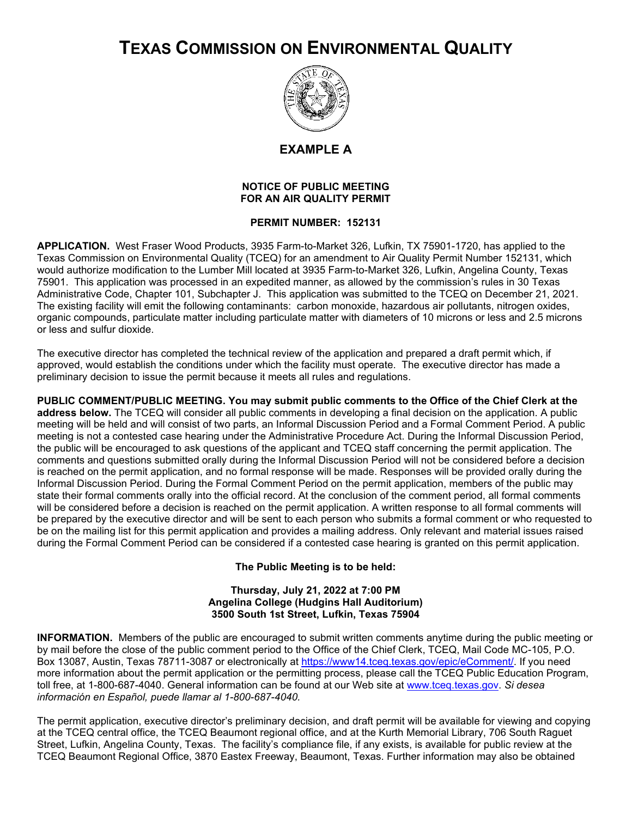## **TEXAS COMMISSION ON ENVIRONMENTAL QUALITY**



**EXAMPLE A**

## **NOTICE OF PUBLIC MEETING FOR AN AIR QUALITY PERMIT**

## **PERMIT NUMBER: 152131**

**APPLICATION.** West Fraser Wood Products, 3935 Farm-to-Market 326, Lufkin, TX 75901-1720, has applied to the Texas Commission on Environmental Quality (TCEQ) for an amendment to Air Quality Permit Number 152131, which would authorize modification to the Lumber Mill located at 3935 Farm-to-Market 326, Lufkin, Angelina County, Texas 75901. This application was processed in an expedited manner, as allowed by the commission's rules in 30 Texas Administrative Code, Chapter 101, Subchapter J. This application was submitted to the TCEQ on December 21, 2021. The existing facility will emit the following contaminants: carbon monoxide, hazardous air pollutants, nitrogen oxides, organic compounds, particulate matter including particulate matter with diameters of 10 microns or less and 2.5 microns or less and sulfur dioxide.

The executive director has completed the technical review of the application and prepared a draft permit which, if approved, would establish the conditions under which the facility must operate. The executive director has made a preliminary decision to issue the permit because it meets all rules and regulations.

**PUBLIC COMMENT/PUBLIC MEETING. You may submit public comments to the Office of the Chief Clerk at the address below.** The TCEQ will consider all public comments in developing a final decision on the application. A public meeting will be held and will consist of two parts, an Informal Discussion Period and a Formal Comment Period. A public meeting is not a contested case hearing under the Administrative Procedure Act. During the Informal Discussion Period, the public will be encouraged to ask questions of the applicant and TCEQ staff concerning the permit application. The comments and questions submitted orally during the Informal Discussion Period will not be considered before a decision is reached on the permit application, and no formal response will be made. Responses will be provided orally during the Informal Discussion Period. During the Formal Comment Period on the permit application, members of the public may state their formal comments orally into the official record. At the conclusion of the comment period, all formal comments will be considered before a decision is reached on the permit application. A written response to all formal comments will be prepared by the executive director and will be sent to each person who submits a formal comment or who requested to be on the mailing list for this permit application and provides a mailing address. Only relevant and material issues raised during the Formal Comment Period can be considered if a contested case hearing is granted on this permit application.

**The Public Meeting is to be held:**

## **Thursday, July 21, 2022 at 7:00 PM Angelina College (Hudgins Hall Auditorium) 3500 South 1st Street, Lufkin, Texas 75904**

**INFORMATION.** Members of the public are encouraged to submit written comments anytime during the public meeting or by mail before the close of the public comment period to the Office of the Chief Clerk, TCEQ, Mail Code MC-105, P.O. Box 13087, Austin, Texas 78711-3087 or electronically at [https://www14.tceq.texas.gov/epic/eComment/.](https://www14.tceq.texas.gov/epic/eComment/) If you need more information about the permit application or the permitting process, please call the TCEQ Public Education Program, toll free, at 1-800-687-4040. General information can be found at our Web site at [www.tceq.texas.gov.](http://www.tceq.texas.gov/) *Si desea información en Español, puede llamar al 1-800-687-4040.*

The permit application, executive director's preliminary decision, and draft permit will be available for viewing and copying at the TCEQ central office, the TCEQ Beaumont regional office, and at the Kurth Memorial Library, 706 South Raguet Street, Lufkin, Angelina County, Texas. The facility's compliance file, if any exists, is available for public review at the TCEQ Beaumont Regional Office, 3870 Eastex Freeway, Beaumont, Texas. Further information may also be obtained